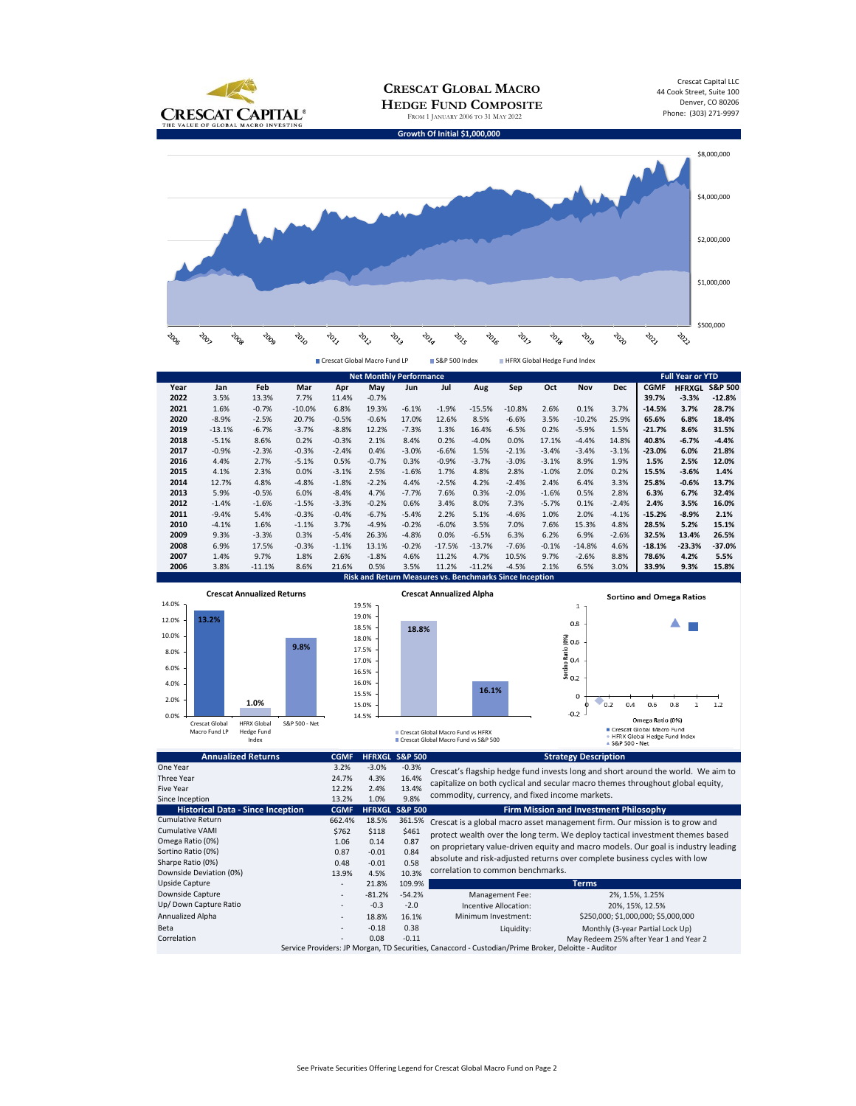

| <b>Net Monthly Performance</b>                                 |          |          |          |         |         |         |          |          |          | <b>Full Year or YTD</b> |          |            |             |               |                    |
|----------------------------------------------------------------|----------|----------|----------|---------|---------|---------|----------|----------|----------|-------------------------|----------|------------|-------------|---------------|--------------------|
| Year                                                           | Jan      | Feb      | Mar      | Apr     | May     | Jun     | Jul      | Aug      | Sep      | Oct                     | Nov      | <b>Dec</b> | <b>CGMF</b> | <b>HFRXGL</b> | <b>S&amp;P 500</b> |
| 2022                                                           | 3.5%     | 13.3%    | 7.7%     | 11.4%   | $-0.7%$ |         |          |          |          |                         |          |            | 39.7%       | $-3.3%$       | $-12.8%$           |
| 2021                                                           | 1.6%     | $-0.7%$  | $-10.0%$ | 6.8%    | 19.3%   | $-6.1%$ | $-1.9%$  | $-15.5%$ | $-10.8%$ | 2.6%                    | 0.1%     | 3.7%       | $-14.5%$    | 3.7%          | 28.7%              |
| 2020                                                           | $-8.9%$  | $-2.5%$  | 20.7%    | $-0.5%$ | $-0.6%$ | 17.0%   | 12.6%    | 8.5%     | $-6.6%$  | 3.5%                    | $-10.2%$ | 25.9%      | 65.6%       | 6.8%          | 18.4%              |
| 2019                                                           | $-13.1%$ | $-6.7%$  | $-3.7%$  | $-8.8%$ | 12.2%   | $-7.3%$ | 1.3%     | 16.4%    | $-6.5%$  | 0.2%                    | $-5.9%$  | 1.5%       | $-21.7%$    | 8.6%          | 31.5%              |
| 2018                                                           | $-5.1%$  | 8.6%     | 0.2%     | $-0.3%$ | 2.1%    | 8.4%    | 0.2%     | $-4.0%$  | 0.0%     | 17.1%                   | $-4.4%$  | 14.8%      | 40.8%       | $-6.7%$       | $-4.4%$            |
| 2017                                                           | $-0.9%$  | $-2.3%$  | $-0.3%$  | $-2.4%$ | 0.4%    | $-3.0%$ | $-6.6%$  | 1.5%     | $-2.1%$  | $-3.4%$                 | $-3.4%$  | $-3.1%$    | $-23.0%$    | 6.0%          | 21.8%              |
| 2016                                                           | 4.4%     | 2.7%     | $-5.1%$  | 0.5%    | $-0.7%$ | 0.3%    | $-0.9%$  | $-3.7%$  | $-3.0%$  | $-3.1%$                 | 8.9%     | 1.9%       | 1.5%        | 2.5%          | 12.0%              |
| 2015                                                           | 4.1%     | 2.3%     | 0.0%     | $-3.1%$ | 2.5%    | $-1.6%$ | 1.7%     | 4.8%     | 2.8%     | $-1.0%$                 | 2.0%     | 0.2%       | 15.5%       | $-3.6%$       | 1.4%               |
| 2014                                                           | 12.7%    | 4.8%     | $-4.8%$  | $-1.8%$ | $-2.2%$ | 4.4%    | $-2.5%$  | 4.2%     | $-2.4%$  | 2.4%                    | 6.4%     | 3.3%       | 25.8%       | $-0.6%$       | 13.7%              |
| 2013                                                           | 5.9%     | $-0.5%$  | 6.0%     | $-8.4%$ | 4.7%    | $-7.7%$ | 7.6%     | 0.3%     | $-2.0%$  | $-1.6%$                 | 0.5%     | 2.8%       | 6.3%        | 6.7%          | 32.4%              |
| 2012                                                           | $-1.4%$  | $-1.6%$  | $-1.5%$  | $-3.3%$ | $-0.2%$ | 0.6%    | 3.4%     | 8.0%     | 7.3%     | $-5.7%$                 | 0.1%     | $-2.4%$    | 2.4%        | 3.5%          | 16.0%              |
| 2011                                                           | $-9.4%$  | 5.4%     | $-0.3%$  | $-0.4%$ | $-6.7%$ | $-5.4%$ | 2.2%     | 5.1%     | $-4.6%$  | 1.0%                    | 2.0%     | $-4.1%$    | $-15.2%$    | $-8.9%$       | 2.1%               |
| 2010                                                           | $-4.1%$  | 1.6%     | $-1.1%$  | 3.7%    | $-4.9%$ | $-0.2%$ | $-6.0%$  | 3.5%     | 7.0%     | 7.6%                    | 15.3%    | 4.8%       | 28.5%       | 5.2%          | 15.1%              |
| 2009                                                           | 9.3%     | $-3.3%$  | 0.3%     | $-5.4%$ | 26.3%   | $-4.8%$ | 0.0%     | $-6.5%$  | 6.3%     | 6.2%                    | 6.9%     | $-2.6%$    | 32.5%       | 13.4%         | 26.5%              |
| 2008                                                           | 6.9%     | 17.5%    | $-0.3%$  | $-1.1%$ | 13.1%   | $-0.2%$ | $-17.5%$ | $-13.7%$ | $-7.6%$  | $-0.1%$                 | $-14.8%$ | 4.6%       | $-18.1%$    | $-23.3%$      | $-37.0%$           |
| 2007                                                           | 1.4%     | 9.7%     | 1.8%     | 2.6%    | $-1.8%$ | 4.6%    | 11.2%    | 4.7%     | 10.5%    | 9.7%                    | $-2.6%$  | 8.8%       | 78.6%       | 4.2%          | 5.5%               |
| 2006                                                           | 3.8%     | $-11.1%$ | 8.6%     | 21.6%   | 0.5%    | 3.5%    | 11.2%    | $-11.2%$ | $-4.5%$  | 2.1%                    | 6.5%     | 3.0%       | 33.9%       | 9.3%          | 15.8%              |
| <b>Risk and Return Measures vs. Benchmarks Since Inception</b> |          |          |          |         |         |         |          |          |          |                         |          |            |             |               |                    |



| One Year                                                                                            | 3.2%        | $-3.0%$  | $-0.3%$        | Crescat's flagship hedge fund invests long and short around the world. We aim to                                                                             |  |  |  |  |  |
|-----------------------------------------------------------------------------------------------------|-------------|----------|----------------|--------------------------------------------------------------------------------------------------------------------------------------------------------------|--|--|--|--|--|
| Three Year                                                                                          | 24.7%       | 4.3%     | 16.4%          | capitalize on both cyclical and secular macro themes throughout global equity,                                                                               |  |  |  |  |  |
| <b>Five Year</b>                                                                                    | 12.2%       | 2.4%     | 13.4%          |                                                                                                                                                              |  |  |  |  |  |
| Since Inception                                                                                     | 13.2%       | 1.0%     | 9.8%           | commodity, currency, and fixed income markets.                                                                                                               |  |  |  |  |  |
| <b>Historical Data - Since Inception</b>                                                            | <b>CGMF</b> |          | HFRXGL S&P 500 | <b>Firm Mission and Investment Philosophy</b>                                                                                                                |  |  |  |  |  |
| <b>Cumulative Return</b>                                                                            | 662.4%      | 18.5%    | 361.5%         | Crescat is a global macro asset management firm. Our mission is to grow and<br>protect wealth over the long term. We deploy tactical investment themes based |  |  |  |  |  |
| <b>Cumulative VAMI</b>                                                                              | \$762       | \$118    | \$461          |                                                                                                                                                              |  |  |  |  |  |
| Omega Ratio (0%)                                                                                    | 1.06        | 0.14     | 0.87           | on proprietary value-driven equity and macro models. Our goal is industry leading                                                                            |  |  |  |  |  |
| Sortino Ratio (0%)                                                                                  | 0.87        | $-0.01$  | 0.84           | absolute and risk-adjusted returns over complete business cycles with low<br>correlation to common benchmarks.                                               |  |  |  |  |  |
| Sharpe Ratio (0%)                                                                                   | 0.48        | $-0.01$  | 0.58           |                                                                                                                                                              |  |  |  |  |  |
| Downside Deviation (0%)                                                                             | 13.9%       | 4.5%     | 10.3%          |                                                                                                                                                              |  |  |  |  |  |
| <b>Upside Capture</b>                                                                               | ۰           | 21.8%    | 109.9%         | <b>Terms</b>                                                                                                                                                 |  |  |  |  |  |
| Downside Capture                                                                                    | $\sim$      | $-81.2%$ | $-54.2%$       | Management Fee:<br>2%, 1.5%, 1.25%                                                                                                                           |  |  |  |  |  |
| Up/ Down Capture Ratio                                                                              | $\sim$      | $-0.3$   | $-2.0$         | Incentive Allocation:<br>20%, 15%, 12.5%                                                                                                                     |  |  |  |  |  |
| Annualized Alpha                                                                                    | ٠           | 18.8%    | 16.1%          | \$250,000; \$1,000,000; \$5,000,000<br>Minimum Investment:                                                                                                   |  |  |  |  |  |
| Beta                                                                                                | $\sim$      | $-0.18$  | 0.38           | Monthly (3-year Partial Lock Up)<br>Liquidity:                                                                                                               |  |  |  |  |  |
| Correlation                                                                                         | ۰.          | 0.08     | $-0.11$        | May Redeem 25% after Year 1 and Year 2                                                                                                                       |  |  |  |  |  |
| Service Providers: JP Morgan, TD Securities, Canaccord - Custodian/Prime Broker, Deloitte - Auditor |             |          |                |                                                                                                                                                              |  |  |  |  |  |